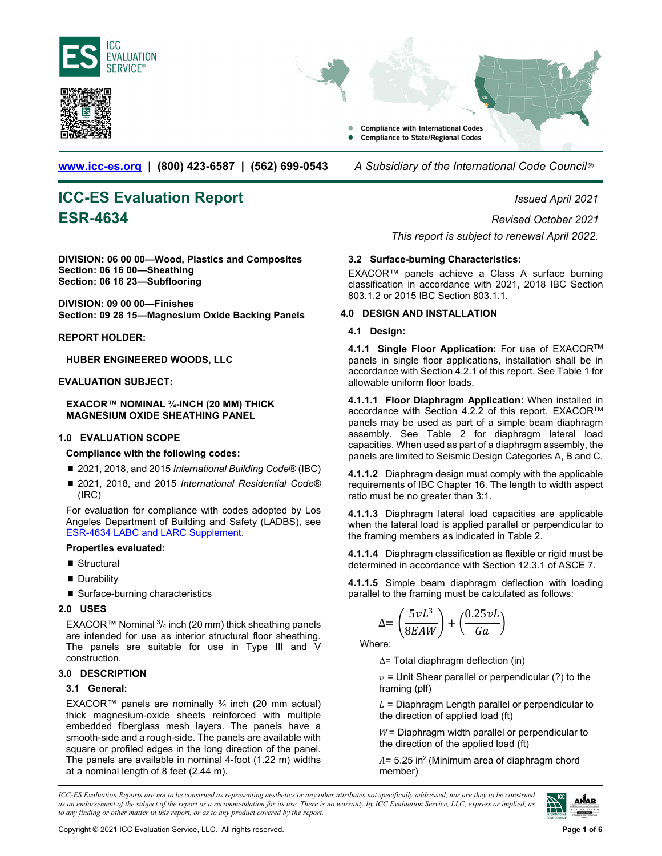<span id="page-0-0"></span>





**www.icc-es.org | (800) 423-6587 | (562) 699-0543** *A Subsidiary of the International Code Council* ®

# **ICC-ES Evaluation Report** *Issued April 2021*

**DIVISION: 06 00 00—Wood, Plastics and Composites Section: 06 16 00—Sheathing Section: 06 16 23—Subflooring** 

**DIVISION: 09 00 00—Finishes Section: 09 28 15—Magnesium Oxide Backing Panels** 

**REPORT HOLDER:** 

**HUBER ENGINEERED WOODS, LLC** 

#### **EVALUATION SUBJECT:**

**EXACOR™ NOMINAL ¾-INCH (20 MM) THICK MAGNESIUM OXIDE SHEATHING PANEL** 

#### **1.0 EVALUATION SCOPE**

**Compliance with the following codes:** 

- 2021, 2018, and 2015 *International Building Code®* (IBC)
- 2021, 2018, and 2015 *International Residential Code®* (IRC)

For evaluation for compliance with codes adopted by Los Angeles Department of Building and Safety (LADBS), see [ESR-4634 LABC and LARC Supplement.](#page-3-0) 

#### **Properties evaluated:**

- Structural
- **Durability**
- Surface-burning characteristics

#### **2.0 USES**

EXACOR™ Nominal  $\frac{3}{4}$  inch (20 mm) thick sheathing panels are intended for use as interior structural floor sheathing. The panels are suitable for use in Type III and V construction.

#### **3.0 DESCRIPTION**

## **3.1 General:**

EXACOR™ panels are nominally  $\frac{3}{4}$  inch (20 mm actual) thick magnesium-oxide sheets reinforced with multiple embedded fiberglass mesh layers. The panels have a smooth-side and a rough-side. The panels are available with square or profiled edges in the long direction of the panel. The panels are available in nominal 4-foot (1.22 m) widths at a nominal length of 8 feet (2.44 m).

**ESR-4634** *Revised October 2021 This report is subject to renewal April 2022.* 

#### **3.2 Surface-burning Characteristics:**

EXACOR™ panels achieve a Class A surface burning classification in accordance with 2021, 2018 IBC Section 803.1.2 or 2015 IBC Section 803.1.1.

#### **4.0 DESIGN AND INSTALLATION**

#### **4.1 Design:**

**4.1.1 Single Floor Application:** For use of EXACORTM panels in single floor applications, installation shall be in accordance with Section 4.2.1 of this report. See Table 1 for allowable uniform floor loads.

**4.1.1.1 Floor Diaphragm Application:** When installed in accordance with Section 4.2.2 of this report, EXACOR<sup>™</sup> panels may be used as part of a simple beam diaphragm assembly. See Table 2 for diaphragm lateral load capacities. When used as part of a diaphragm assembly, the panels are limited to Seismic Design Categories A, B and C.

**4.1.1.2** Diaphragm design must comply with the applicable requirements of IBC Chapter 16. The length to width aspect ratio must be no greater than 3:1.

**4.1.1.3** Diaphragm lateral load capacities are applicable when the lateral load is applied parallel or perpendicular to the framing members as indicated in Table 2.

**4.1.1.4** Diaphragm classification as flexible or rigid must be determined in accordance with Section 12.3.1 of ASCE 7.

**4.1.1.5** Simple beam diaphragm deflection with loading parallel to the framing must be calculated as follows:

$$
\Delta{=}\left(\frac{5\nu L^3}{8EAW}\right)+\left(\frac{0.25\nu L}{Ga}\right)
$$

Where:

∆= Total diaphragm deflection (in)

 $v =$  Unit Shear parallel or perpendicular (?) to the framing (plf)

 $L =$  Diaphragm Length parallel or perpendicular to the direction of applied load (ft)

 $W =$  Diaphragm width parallel or perpendicular to the direction of the applied load (ft)

 $A = 5.25$  in<sup>2</sup> (Minimum area of diaphragm chord member)

*ICC-ES Evaluation Reports are not to be construed as representing aesthetics or any other attributes not specifically addressed, nor are they to be construed as an endorsement of the subject of the report or a recommendation for its use. There is no warranty by ICC Evaluation Service, LLC, express or implied, as to any finding or other matter in this report, or as to any product covered by the report.*

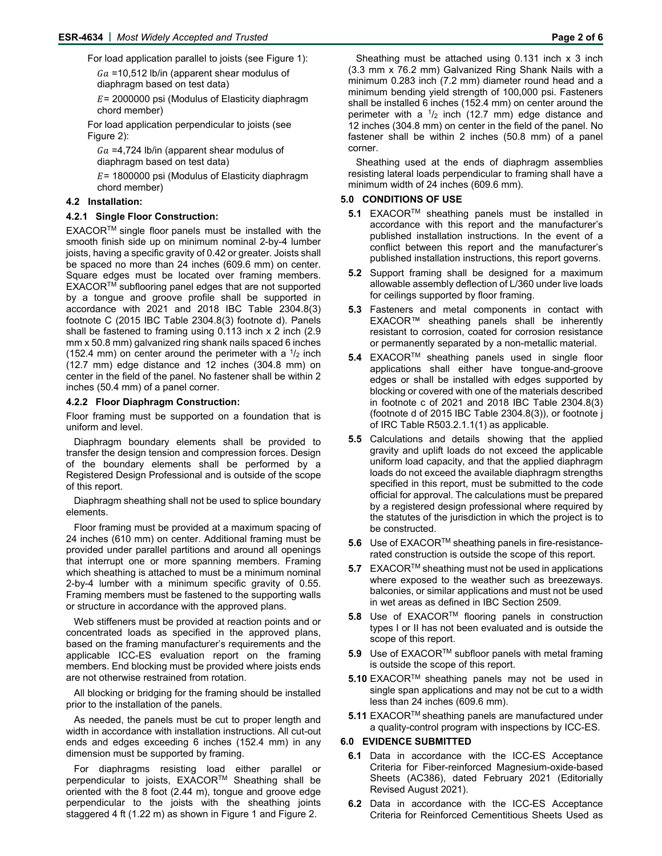For load application parallel to joists (see Figure 1):

 $Ga = 10,512$  lb/in (apparent shear modulus of diaphragm based on test data)

 $E = 2000000$  psi (Modulus of Elasticity diaphragm chord member)

For load application perpendicular to joists (see Figure 2):

 $Ga = 4,724$  lb/in (apparent shear modulus of diaphragm based on test data)

 $E$  = 1800000 psi (Modulus of Elasticity diaphragm chord member)

#### **4.2 Installation:**

#### **4.2.1 Single Floor Construction:**

EXACORTM single floor panels must be installed with the smooth finish side up on minimum nominal 2-by-4 lumber joists, having a specific gravity of 0.42 or greater. Joists shall be spaced no more than 24 inches (609.6 mm) on center. Square edges must be located over framing members. EXACORTM subflooring panel edges that are not supported by a tongue and groove profile shall be supported in accordance with 2021 and 2018 IBC Table 2304.8(3) footnote C (2015 IBC Table 2304.8(3) footnote d). Panels shall be fastened to framing using 0.113 inch x 2 inch (2.9 mm x 50.8 mm) galvanized ring shank nails spaced 6 inches (152.4 mm) on center around the perimeter with a  $\frac{1}{2}$  inch (12.7 mm) edge distance and 12 inches (304.8 mm) on center in the field of the panel. No fastener shall be within 2 inches (50.4 mm) of a panel corner.

#### **4.2.2 Floor Diaphragm Construction:**

Floor framing must be supported on a foundation that is uniform and level.

Diaphragm boundary elements shall be provided to transfer the design tension and compression forces. Design of the boundary elements shall be performed by a Registered Design Professional and is outside of the scope of this report.

Diaphragm sheathing shall not be used to splice boundary elements.

Floor framing must be provided at a maximum spacing of 24 inches (610 mm) on center. Additional framing must be provided under parallel partitions and around all openings that interrupt one or more spanning members. Framing which sheathing is attached to must be a minimum nominal 2-by-4 lumber with a minimum specific gravity of 0.55. Framing members must be fastened to the supporting walls or structure in accordance with the approved plans.

Web stiffeners must be provided at reaction points and or concentrated loads as specified in the approved plans, based on the framing manufacturer's requirements and the applicable ICC-ES evaluation report on the framing members. End blocking must be provided where joists ends are not otherwise restrained from rotation.

All blocking or bridging for the framing should be installed prior to the installation of the panels.

As needed, the panels must be cut to proper length and width in accordance with installation instructions. All cut-out ends and edges exceeding 6 inches (152.4 mm) in any dimension must be supported by framing.

For diaphragms resisting load either parallel or perpendicular to joists, EXACOR™ Sheathing shall be oriented with the 8 foot (2.44 m), tongue and groove edge perpendicular to the joists with the sheathing joints staggered 4 ft (1.22 m) as shown in Figure 1 and Figure 2.

Sheathing must be attached using 0.131 inch x 3 inch (3.3 mm x 76.2 mm) Galvanized Ring Shank Nails with a minimum 0.283 inch (7.2 mm) diameter round head and a minimum bending yield strength of 100,000 psi. Fasteners shall be installed 6 inches (152.4 mm) on center around the perimeter with a  $\frac{1}{2}$  inch (12.7 mm) edge distance and 12 inches (304.8 mm) on center in the field of the panel. No fastener shall be within 2 inches (50.8 mm) of a panel corner.

Sheathing used at the ends of diaphragm assemblies resisting lateral loads perpendicular to framing shall have a minimum width of 24 inches (609.6 mm).

#### **5.0 CONDITIONS OF USE**

- **5.1** EXACOR<sup>™</sup> sheathing panels must be installed in accordance with this report and the manufacturer's published installation instructions. In the event of a conflict between this report and the manufacturer's published installation instructions, this report governs.
- **5.2** Support framing shall be designed for a maximum allowable assembly deflection of L/360 under live loads for ceilings supported by floor framing.
- **5.3** Fasteners and metal components in contact with EXACOR™ sheathing panels shall be inherently resistant to corrosion, coated for corrosion resistance or permanently separated by a non-metallic material.
- **5.4** EXACOR™ sheathing panels used in single floor applications shall either have tongue-and-groove edges or shall be installed with edges supported by blocking or covered with one of the materials described in footnote c of 2021 and 2018 IBC Table 2304.8(3) (footnote d of 2015 IBC Table 2304.8(3)), or footnote j of IRC Table R503.2.1.1(1) as applicable.
- **5.5** Calculations and details showing that the applied gravity and uplift loads do not exceed the applicable uniform load capacity, and that the applied diaphragm loads do not exceed the available diaphragm strengths specified in this report, must be submitted to the code official for approval. The calculations must be prepared by a registered design professional where required by the statutes of the jurisdiction in which the project is to be constructed.
- **5.6** Use of EXACOR™ sheathing panels in fire-resistancerated construction is outside the scope of this report.
- **5.7** EXACOR™ sheathing must not be used in applications where exposed to the weather such as breezeways. balconies, or similar applications and must not be used in wet areas as defined in IBC Section 2509.
- **5.8** Use of EXACOR™ flooring panels in construction types I or II has not been evaluated and is outside the scope of this report.
- **5.9** Use of EXACOR™ subfloor panels with metal framing is outside the scope of this report.
- **5.10** EXACOR<sup>™</sup> sheathing panels may not be used in single span applications and may not be cut to a width less than 24 inches (609.6 mm).
- **5.11** EXACOR™ sheathing panels are manufactured under a quality-control program with inspections by ICC-ES.

#### **6.0 EVIDENCE SUBMITTED**

- **6.1** Data in accordance with the ICC-ES Acceptance Criteria for Fiber-reinforced Magnesium-oxide-based Sheets (AC386), dated February 2021 (Editorially Revised August 2021).
- **6.2** Data in accordance with the ICC-ES Acceptance Criteria for Reinforced Cementitious Sheets Used as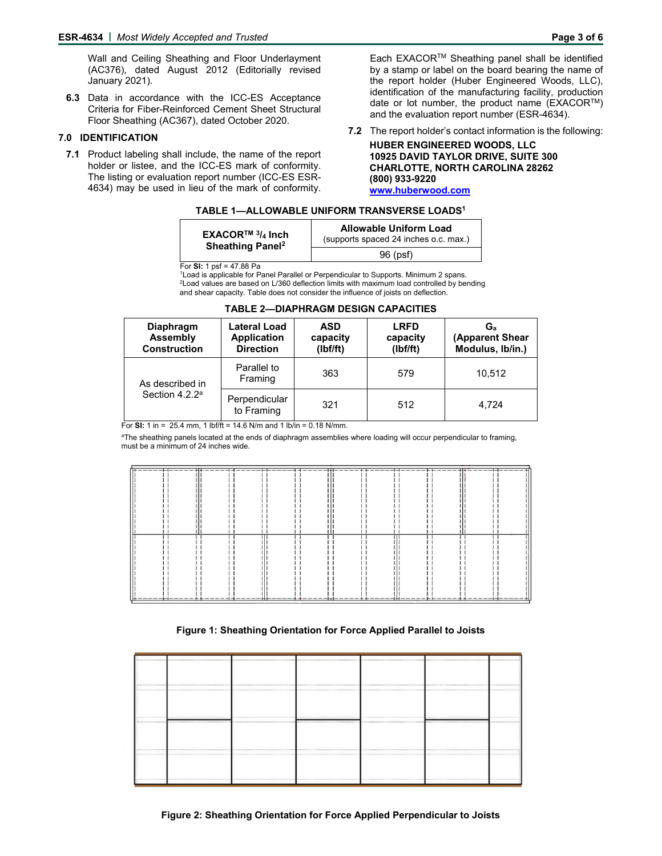Wall and Ceiling Sheathing and Floor Underlayment (AC376), dated August 2012 (Editorially revised January 2021).

**6.3** Data in accordance with the ICC-ES Acceptance Criteria for Fiber-Reinforced Cement Sheet Structural Floor Sheathing (AC367), dated October 2020.

#### **7.0 IDENTIFICATION**

**7.1** Product labeling shall include, the name of the report holder or listee, and the ICC-ES mark of conformity. The listing or evaluation report number (ICC-ES ESR-4634) may be used in lieu of the mark of conformity.

Each EXACORTM Sheathing panel shall be identified by a stamp or label on the board bearing the name of the report holder (Huber Engineered Woods, LLC), identification of the manufacturing facility, production date or lot number, the product name ( $\text{EXACOR}^{\text{TM}}$ ) and the evaluation report number (ESR-4634).

**7.2** The report holder's contact information is the following: **HUBER ENGINEERED WOODS, LLC 10925 DAVID TAYLOR DRIVE, SUITE 300 CHARLOTTE, NORTH CAROLINA 28262 (800) 933-9220 www.huberwood.com** 

#### **TABLE 1—ALLOWABLE UNIFORM TRANSVERSE LOADS1**

| <b>EXACOR<sup>™</sup> <math>^{3}/_4</math> Inch</b><br>Sheathing Panel <sup>2</sup> | <b>Allowable Uniform Load</b><br>(supports spaced 24 inches o.c. max.) |
|-------------------------------------------------------------------------------------|------------------------------------------------------------------------|
|                                                                                     | 96 (psf)                                                               |

For **SI:** 1 psf = 47.88 Pa

 $^{\text{1}}$ Load is applicable for Panel Parallel or Perpendicular to Supports. Minimum 2 spans.<br><sup>2</sup>Load values are based on L/360 deflection limits with maximum load controlled by bending and shear capacity. Table does not consider the influence of joists on deflection.

| <b>Diaphragm</b><br><b>Assembly</b><br><b>Construction</b> | Lateral Load<br><b>Application</b><br><b>Direction</b> | <b>ASD</b><br>capacity<br>(Ibf/ft) | <b>LRFD</b><br>capacity<br>(Ibf/ft) | G.<br>(Apparent Shear<br>Modulus, Ib/in.) |
|------------------------------------------------------------|--------------------------------------------------------|------------------------------------|-------------------------------------|-------------------------------------------|
| As described in                                            | Parallel to<br>Framing                                 | 363                                | 579                                 | 10.512                                    |
| Section 4.2.2 <sup>a</sup>                                 | Perpendicular<br>to Framing                            | 321                                | 512                                 | 4.724                                     |

## **TABLE 2—DIAPHRAGM DESIGN CAPACITIES**

For **SI:** 1 in = 25.4 mm, 1 lbf/ft = 14.6 N/m and 1 lb/in = 0.18 N/mm.

aThe sheathing panels located at the ends of diaphragm assemblies where loading will occur perpendicular to framing, must be a minimum of 24 inches wide.

| <del>∫╋╺╼╼╼</del> ╼┾╉╾╾╸╾╾╫╫╺╺╼╼╌┥┽╾╾╾╼╼┾╞╼╼╼╼╾┽┽╾╾╍╼╌╬╬╾╾╾╾╾┼┾╺╼╼╾╍╡┽╾╾╼╼╼┾╞╼╼╍╾╾╫╄ <sup>╦</sup> ╼╼╼╼┾╬╾╾╾╾╍ <del>┆</del> |                              |                         |                       |                               |    |
|----------------------------------------------------------------------------------------------------------------------------|------------------------------|-------------------------|-----------------------|-------------------------------|----|
|                                                                                                                            |                              |                         |                       |                               |    |
|                                                                                                                            |                              |                         |                       |                               |    |
|                                                                                                                            |                              |                         |                       |                               |    |
|                                                                                                                            |                              |                         |                       |                               |    |
|                                                                                                                            |                              |                         |                       |                               |    |
|                                                                                                                            |                              |                         |                       |                               |    |
|                                                                                                                            |                              |                         |                       |                               |    |
|                                                                                                                            |                              |                         |                       |                               |    |
|                                                                                                                            |                              |                         |                       |                               |    |
|                                                                                                                            |                              |                         |                       |                               |    |
|                                                                                                                            |                              |                         |                       |                               |    |
|                                                                                                                            |                              |                         |                       |                               |    |
|                                                                                                                            |                              |                         |                       |                               |    |
|                                                                                                                            |                              |                         |                       |                               |    |
|                                                                                                                            |                              |                         |                       |                               |    |
|                                                                                                                            |                              |                         |                       |                               |    |
|                                                                                                                            |                              |                         |                       |                               |    |
|                                                                                                                            |                              |                         |                       |                               |    |
| ---<br>----                                                                                                                | - + - - - - - - - - - -<br>… | ------<br>++----------- | . + + - - - -<br>.—н. | -----<br>$- - - - -$<br>++--- | —— |

#### **Figure 1: Sheathing Orientation for Force Applied Parallel to Joists**

|  |  | <b></b>                                  |
|--|--|------------------------------------------|
|  |  |                                          |
|  |  |                                          |
|  |  |                                          |
|  |  |                                          |
|  |  |                                          |
|  |  | ****************                         |
|  |  | <b></b>                                  |
|  |  |                                          |
|  |  |                                          |
|  |  |                                          |
|  |  |                                          |
|  |  | <b></b>                                  |
|  |  |                                          |
|  |  |                                          |
|  |  |                                          |
|  |  |                                          |
|  |  |                                          |
|  |  | ************************************<br> |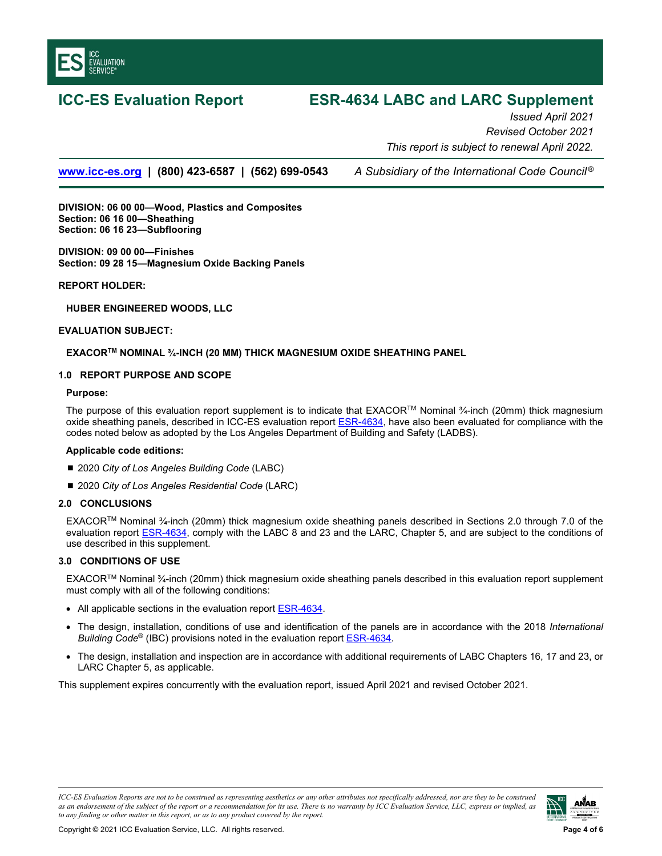<span id="page-3-0"></span>

# **ICC-ES Evaluation Report ESR-4634 LABC and LARC Supplement**

*Issued April 2021 Revised October 2021 This report is subject to renewal April 2022.* 

**www.icc-es.org | (800) 423-6587 | (562) 699-0543** *A Subsidiary of the International Code Council ®*

**DIVISION: 06 00 00—Wood, Plastics and Composites Section: 06 16 00—Sheathing Section: 06 16 23—Subflooring** 

**DIVISION: 09 00 00—Finishes Section: 09 28 15—Magnesium Oxide Backing Panels** 

#### **REPORT HOLDER:**

**HUBER ENGINEERED WOODS, LLC** 

#### **EVALUATION SUBJECT:**

#### **EXACORTM NOMINAL ¾-INCH (20 MM) THICK MAGNESIUM OXIDE SHEATHING PANEL**

#### **1.0 REPORT PURPOSE AND SCOPE**

#### **Purpose:**

The purpose of this evaluation report supplement is to indicate that EXACORTM Nominal ¾-inch (20mm) thick magnesium oxide sheathing panels, described in ICC-ES evaluation report [ESR-4634,](#page-0-0) have also been evaluated for compliance with the codes noted below as adopted by the Los Angeles Department of Building and Safety (LADBS).

#### **Applicable code edition***s***:**

- 2020 *City of Los Angeles Building Code* (LABC)
- 2020 *City of Los Angeles Residential Code* (LARC)

## **2.0 CONCLUSIONS**

EXACORTM Nominal ¾-inch (20mm) thick magnesium oxide sheathing panels described in Sections 2.0 through 7.0 of the evaluation report **ESR-4634**, comply with the LABC 8 and 23 and the LARC, Chapter 5, and are subject to the conditions of use described in this supplement.

#### **3.0 CONDITIONS OF USE**

EXACORTM Nominal ¾-inch (20mm) thick magnesium oxide sheathing panels described in this evaluation report supplement must comply with all of the following conditions:

- All applicable sections in the evaluation report **ESR-4634**.
- The design, installation, conditions of use and identification of the panels are in accordance with the 2018 *International Building Code*® (IBC) provisions noted in the evaluation report [ESR-4634.](#page-0-0)
- The design, installation and inspection are in accordance with additional requirements of LABC Chapters 16, 17 and 23, or LARC Chapter 5, as applicable.

This supplement expires concurrently with the evaluation report, issued April 2021 and revised October 2021.

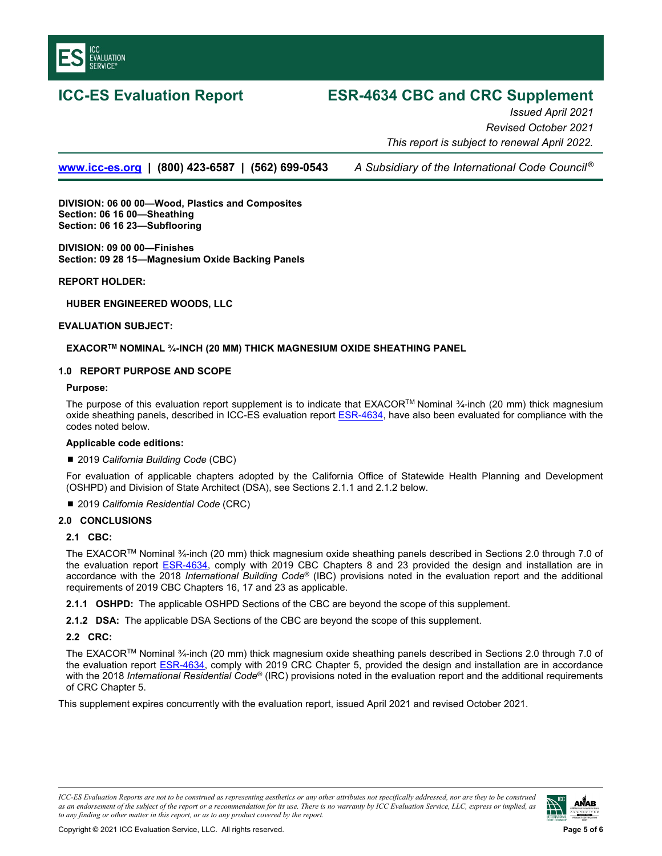

# **ICC-ES Evaluation Report ESR-4634 CBC and CRC Supplement**

*Issued April 2021 Revised October 2021 This report is subject to renewal April 2022.* 

**www.icc-es.org | (800) 423-6587 | (562) 699-0543** *A Subsidiary of the International Code Council ®*

**DIVISION: 06 00 00—Wood, Plastics and Composites Section: 06 16 00—Sheathing Section: 06 16 23—Subflooring** 

**DIVISION: 09 00 00—Finishes Section: 09 28 15—Magnesium Oxide Backing Panels** 

**REPORT HOLDER:** 

**HUBER ENGINEERED WOODS, LLC** 

#### **EVALUATION SUBJECT:**

## **EXACORTM NOMINAL ¾-INCH (20 MM) THICK MAGNESIUM OXIDE SHEATHING PANEL**

#### **1.0 REPORT PURPOSE AND SCOPE**

**Purpose:** 

The purpose of this evaluation report supplement is to indicate that EXACORTM Nominal ¾-inch (20 mm) thick magnesium oxide sheathing panels, described in ICC-ES evaluation report **ESR-4634**, have also been evaluated for compliance with the codes noted below.

#### **Applicable code editions:**

#### ■ 2019 California Building Code (CBC)

For evaluation of applicable chapters adopted by the California Office of Statewide Health Planning and Development (OSHPD) and Division of State Architect (DSA), see Sections 2.1.1 and 2.1.2 below.

2019 *California Residential Code* (CRC)

#### **2.0 CONCLUSIONS**

#### **2.1 CBC:**

The EXACORTM Nominal ¾-inch (20 mm) thick magnesium oxide sheathing panels described in Sections 2.0 through 7.0 of the evaluation report [ESR-4634,](#page-0-0) comply with 2019 CBC Chapters 8 and 23 provided the design and installation are in accordance with the 2018 *International Building Code*® (IBC) provisions noted in the evaluation report and the additional requirements of 2019 CBC Chapters 16, 17 and 23 as applicable.

**2.1.1 OSHPD:** The applicable OSHPD Sections of the CBC are beyond the scope of this supplement.

**2.1.2 DSA:** The applicable DSA Sections of the CBC are beyond the scope of this supplement.

#### **2.2 CRC:**

The EXACORTM Nominal ¾-inch (20 mm) thick magnesium oxide sheathing panels described in Sections 2.0 through 7.0 of the evaluation report [ESR-4634,](#page-0-0) comply with 2019 CRC Chapter 5, provided the design and installation are in accordance with the 2018 *International Residential Code*® (IRC) provisions noted in the evaluation report and the additional requirements of CRC Chapter 5.

This supplement expires concurrently with the evaluation report, issued April 2021 and revised October 2021.